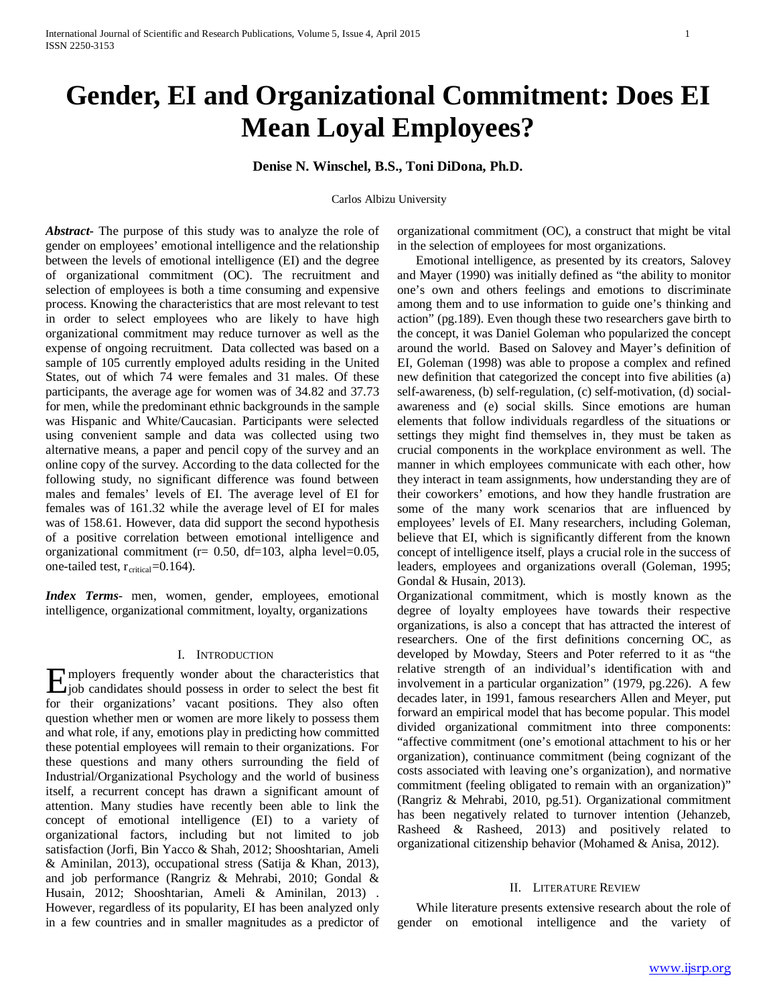# **Gender, EI and Organizational Commitment: Does EI Mean Loyal Employees?**

## **Denise N. Winschel, B.S., Toni DiDona, Ph.D.**

Carlos Albizu University

*Abstract***-** The purpose of this study was to analyze the role of gender on employees' emotional intelligence and the relationship between the levels of emotional intelligence (EI) and the degree of organizational commitment (OC). The recruitment and selection of employees is both a time consuming and expensive process. Knowing the characteristics that are most relevant to test in order to select employees who are likely to have high organizational commitment may reduce turnover as well as the expense of ongoing recruitment. Data collected was based on a sample of 105 currently employed adults residing in the United States, out of which 74 were females and 31 males. Of these participants, the average age for women was of 34.82 and 37.73 for men, while the predominant ethnic backgrounds in the sample was Hispanic and White/Caucasian. Participants were selected using convenient sample and data was collected using two alternative means, a paper and pencil copy of the survey and an online copy of the survey. According to the data collected for the following study, no significant difference was found between males and females' levels of EI. The average level of EI for females was of 161.32 while the average level of EI for males was of 158.61. However, data did support the second hypothesis of a positive correlation between emotional intelligence and organizational commitment (r= 0.50, df=103, alpha level=0.05, one-tailed test,  $r_{critical}=0.164$ ).

*Index Terms*- men, women, gender, employees, emotional intelligence, organizational commitment, loyalty, organizations

## I. INTRODUCTION

mployers frequently wonder about the characteristics that Employers frequently wonder about the characteristics that<br>
figures in order to select the best fit<br>
Figures of the best fit for their organizations' vacant positions. They also often question whether men or women are more likely to possess them and what role, if any, emotions play in predicting how committed these potential employees will remain to their organizations. For these questions and many others surrounding the field of Industrial/Organizational Psychology and the world of business itself, a recurrent concept has drawn a significant amount of attention. Many studies have recently been able to link the concept of emotional intelligence (EI) to a variety of organizational factors, including but not limited to job satisfaction (Jorfi, Bin Yacco & Shah, 2012; Shooshtarian, Ameli & Aminilan, 2013), occupational stress (Satija & Khan, 2013), and job performance (Rangriz & Mehrabi, 2010; Gondal & Husain, 2012; Shooshtarian, Ameli & Aminilan, 2013) . However, regardless of its popularity, EI has been analyzed only in a few countries and in smaller magnitudes as a predictor of

organizational commitment (OC), a construct that might be vital in the selection of employees for most organizations.

 Emotional intelligence, as presented by its creators, Salovey and Mayer (1990) was initially defined as "the ability to monitor one's own and others feelings and emotions to discriminate among them and to use information to guide one's thinking and action" (pg.189). Even though these two researchers gave birth to the concept, it was Daniel Goleman who popularized the concept around the world. Based on Salovey and Mayer's definition of EI, Goleman (1998) was able to propose a complex and refined new definition that categorized the concept into five abilities (a) self-awareness, (b) self-regulation, (c) self-motivation, (d) socialawareness and (e) social skills. Since emotions are human elements that follow individuals regardless of the situations or settings they might find themselves in, they must be taken as crucial components in the workplace environment as well. The manner in which employees communicate with each other, how they interact in team assignments, how understanding they are of their coworkers' emotions, and how they handle frustration are some of the many work scenarios that are influenced by employees' levels of EI. Many researchers, including Goleman, believe that EI, which is significantly different from the known concept of intelligence itself, plays a crucial role in the success of leaders, employees and organizations overall (Goleman, 1995; Gondal & Husain, 2013).

Organizational commitment, which is mostly known as the degree of loyalty employees have towards their respective organizations, is also a concept that has attracted the interest of researchers. One of the first definitions concerning OC, as developed by Mowday, Steers and Poter referred to it as "the relative strength of an individual's identification with and involvement in a particular organization" (1979, pg.226). A few decades later, in 1991, famous researchers Allen and Meyer, put forward an empirical model that has become popular. This model divided organizational commitment into three components: "affective commitment (one's emotional attachment to his or her organization), continuance commitment (being cognizant of the costs associated with leaving one's organization), and normative commitment (feeling obligated to remain with an organization)" (Rangriz & Mehrabi, 2010, pg.51). Organizational commitment has been negatively related to turnover intention (Jehanzeb, Rasheed & Rasheed, 2013) and positively related to organizational citizenship behavior (Mohamed & Anisa, 2012).

## II. LITERATURE REVIEW

 While literature presents extensive research about the role of gender on emotional intelligence and the variety of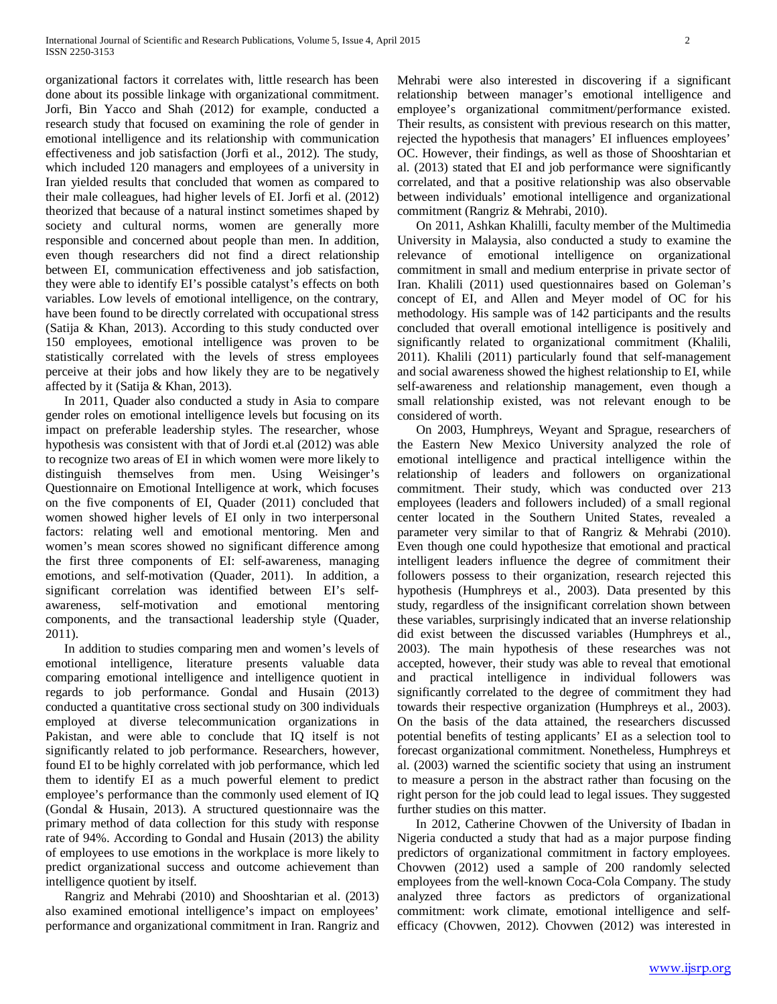organizational factors it correlates with, little research has been done about its possible linkage with organizational commitment. Jorfi, Bin Yacco and Shah (2012) for example, conducted a research study that focused on examining the role of gender in emotional intelligence and its relationship with communication effectiveness and job satisfaction (Jorfi et al., 2012). The study, which included 120 managers and employees of a university in Iran yielded results that concluded that women as compared to their male colleagues, had higher levels of EI. Jorfi et al. (2012) theorized that because of a natural instinct sometimes shaped by society and cultural norms, women are generally more responsible and concerned about people than men. In addition, even though researchers did not find a direct relationship between EI, communication effectiveness and job satisfaction, they were able to identify EI's possible catalyst's effects on both variables. Low levels of emotional intelligence, on the contrary, have been found to be directly correlated with occupational stress (Satija & Khan, 2013). According to this study conducted over 150 employees, emotional intelligence was proven to be statistically correlated with the levels of stress employees perceive at their jobs and how likely they are to be negatively affected by it (Satija & Khan, 2013).

 In 2011, Quader also conducted a study in Asia to compare gender roles on emotional intelligence levels but focusing on its impact on preferable leadership styles. The researcher, whose hypothesis was consistent with that of Jordi et.al (2012) was able to recognize two areas of EI in which women were more likely to distinguish themselves from men. Using Weisinger's Questionnaire on Emotional Intelligence at work, which focuses on the five components of EI, Quader (2011) concluded that women showed higher levels of EI only in two interpersonal factors: relating well and emotional mentoring. Men and women's mean scores showed no significant difference among the first three components of EI: self-awareness, managing emotions, and self-motivation (Quader, 2011). In addition, a significant correlation was identified between EI's selfawareness, self-motivation and emotional mentoring components, and the transactional leadership style (Quader, 2011).

 In addition to studies comparing men and women's levels of emotional intelligence, literature presents valuable data comparing emotional intelligence and intelligence quotient in regards to job performance. Gondal and Husain (2013) conducted a quantitative cross sectional study on 300 individuals employed at diverse telecommunication organizations in Pakistan, and were able to conclude that IQ itself is not significantly related to job performance. Researchers, however, found EI to be highly correlated with job performance, which led them to identify EI as a much powerful element to predict employee's performance than the commonly used element of IQ (Gondal & Husain, 2013). A structured questionnaire was the primary method of data collection for this study with response rate of 94%. According to Gondal and Husain (2013) the ability of employees to use emotions in the workplace is more likely to predict organizational success and outcome achievement than intelligence quotient by itself.

 Rangriz and Mehrabi (2010) and Shooshtarian et al. (2013) also examined emotional intelligence's impact on employees' performance and organizational commitment in Iran. Rangriz and Mehrabi were also interested in discovering if a significant relationship between manager's emotional intelligence and employee's organizational commitment/performance existed. Their results, as consistent with previous research on this matter, rejected the hypothesis that managers' EI influences employees' OC. However, their findings, as well as those of Shooshtarian et al. (2013) stated that EI and job performance were significantly correlated, and that a positive relationship was also observable between individuals' emotional intelligence and organizational commitment (Rangriz & Mehrabi, 2010).

 On 2011, Ashkan Khalilli, faculty member of the Multimedia University in Malaysia, also conducted a study to examine the relevance of emotional intelligence on organizational commitment in small and medium enterprise in private sector of Iran. Khalili (2011) used questionnaires based on Goleman's concept of EI, and Allen and Meyer model of OC for his methodology. His sample was of 142 participants and the results concluded that overall emotional intelligence is positively and significantly related to organizational commitment (Khalili, 2011). Khalili (2011) particularly found that self-management and social awareness showed the highest relationship to EI, while self-awareness and relationship management, even though a small relationship existed, was not relevant enough to be considered of worth.

 On 2003, Humphreys, Weyant and Sprague, researchers of the Eastern New Mexico University analyzed the role of emotional intelligence and practical intelligence within the relationship of leaders and followers on organizational commitment. Their study, which was conducted over 213 employees (leaders and followers included) of a small regional center located in the Southern United States, revealed a parameter very similar to that of Rangriz & Mehrabi (2010). Even though one could hypothesize that emotional and practical intelligent leaders influence the degree of commitment their followers possess to their organization, research rejected this hypothesis (Humphreys et al., 2003). Data presented by this study, regardless of the insignificant correlation shown between these variables, surprisingly indicated that an inverse relationship did exist between the discussed variables (Humphreys et al., 2003). The main hypothesis of these researches was not accepted, however, their study was able to reveal that emotional and practical intelligence in individual followers was significantly correlated to the degree of commitment they had towards their respective organization (Humphreys et al., 2003). On the basis of the data attained, the researchers discussed potential benefits of testing applicants' EI as a selection tool to forecast organizational commitment. Nonetheless, Humphreys et al. (2003) warned the scientific society that using an instrument to measure a person in the abstract rather than focusing on the right person for the job could lead to legal issues. They suggested further studies on this matter.

 In 2012, Catherine Chovwen of the University of Ibadan in Nigeria conducted a study that had as a major purpose finding predictors of organizational commitment in factory employees. Chovwen (2012) used a sample of 200 randomly selected employees from the well-known Coca-Cola Company. The study analyzed three factors as predictors of organizational commitment: work climate, emotional intelligence and selfefficacy (Chovwen, 2012). Chovwen (2012) was interested in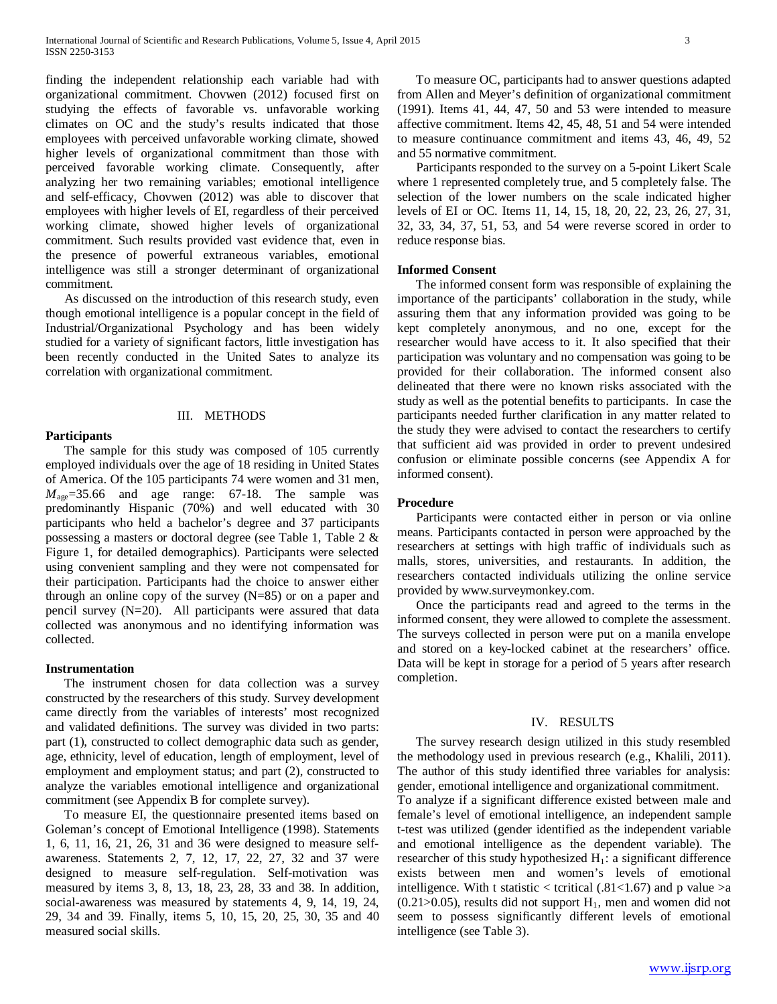finding the independent relationship each variable had with organizational commitment. Chovwen (2012) focused first on studying the effects of favorable vs. unfavorable working climates on OC and the study's results indicated that those employees with perceived unfavorable working climate, showed higher levels of organizational commitment than those with perceived favorable working climate. Consequently, after analyzing her two remaining variables; emotional intelligence and self-efficacy, Chovwen (2012) was able to discover that employees with higher levels of EI, regardless of their perceived working climate, showed higher levels of organizational commitment. Such results provided vast evidence that, even in the presence of powerful extraneous variables, emotional intelligence was still a stronger determinant of organizational commitment.

 As discussed on the introduction of this research study, even though emotional intelligence is a popular concept in the field of Industrial/Organizational Psychology and has been widely studied for a variety of significant factors, little investigation has been recently conducted in the United Sates to analyze its correlation with organizational commitment.

## III. METHODS

## **Participants**

 The sample for this study was composed of 105 currently employed individuals over the age of 18 residing in United States of America. Of the 105 participants 74 were women and 31 men,  $M_{\text{age}}$ =35.66 and age range: 67-18. The sample was predominantly Hispanic (70%) and well educated with 30 participants who held a bachelor's degree and 37 participants possessing a masters or doctoral degree (see Table 1, Table 2 & Figure 1, for detailed demographics). Participants were selected using convenient sampling and they were not compensated for their participation. Participants had the choice to answer either through an online copy of the survey  $(N=85)$  or on a paper and pencil survey (N=20). All participants were assured that data collected was anonymous and no identifying information was collected.

## **Instrumentation**

 The instrument chosen for data collection was a survey constructed by the researchers of this study. Survey development came directly from the variables of interests' most recognized and validated definitions. The survey was divided in two parts: part (1), constructed to collect demographic data such as gender, age, ethnicity, level of education, length of employment, level of employment and employment status; and part (2), constructed to analyze the variables emotional intelligence and organizational commitment (see Appendix B for complete survey).

 To measure EI, the questionnaire presented items based on Goleman's concept of Emotional Intelligence (1998). Statements 1, 6, 11, 16, 21, 26, 31 and 36 were designed to measure selfawareness. Statements 2, 7, 12, 17, 22, 27, 32 and 37 were designed to measure self-regulation. Self-motivation was measured by items 3, 8, 13, 18, 23, 28, 33 and 38. In addition, social-awareness was measured by statements 4, 9, 14, 19, 24, 29, 34 and 39. Finally, items 5, 10, 15, 20, 25, 30, 35 and 40 measured social skills.

 To measure OC, participants had to answer questions adapted from Allen and Meyer's definition of organizational commitment (1991). Items 41, 44, 47, 50 and 53 were intended to measure affective commitment. Items 42, 45, 48, 51 and 54 were intended to measure continuance commitment and items 43, 46, 49, 52 and 55 normative commitment.

 Participants responded to the survey on a 5-point Likert Scale where 1 represented completely true, and 5 completely false. The selection of the lower numbers on the scale indicated higher levels of EI or OC. Items 11, 14, 15, 18, 20, 22, 23, 26, 27, 31, 32, 33, 34, 37, 51, 53, and 54 were reverse scored in order to reduce response bias.

## **Informed Consent**

 The informed consent form was responsible of explaining the importance of the participants' collaboration in the study, while assuring them that any information provided was going to be kept completely anonymous, and no one, except for the researcher would have access to it. It also specified that their participation was voluntary and no compensation was going to be provided for their collaboration. The informed consent also delineated that there were no known risks associated with the study as well as the potential benefits to participants. In case the participants needed further clarification in any matter related to the study they were advised to contact the researchers to certify that sufficient aid was provided in order to prevent undesired confusion or eliminate possible concerns (see Appendix A for informed consent).

## **Procedure**

 Participants were contacted either in person or via online means. Participants contacted in person were approached by the researchers at settings with high traffic of individuals such as malls, stores, universities, and restaurants. In addition, the researchers contacted individuals utilizing the online service provided by www.surveymonkey.com.

 Once the participants read and agreed to the terms in the informed consent, they were allowed to complete the assessment. The surveys collected in person were put on a manila envelope and stored on a key-locked cabinet at the researchers' office. Data will be kept in storage for a period of 5 years after research completion.

## IV. RESULTS

 The survey research design utilized in this study resembled the methodology used in previous research (e.g., Khalili, 2011). The author of this study identified three variables for analysis: gender, emotional intelligence and organizational commitment.

To analyze if a significant difference existed between male and female's level of emotional intelligence, an independent sample t-test was utilized (gender identified as the independent variable and emotional intelligence as the dependent variable). The researcher of this study hypothesized  $H_1$ : a significant difference exists between men and women's levels of emotional intelligence. With t statistic  $\langle$  teritical (.81 $\langle$ 1.67) and p value  $\rangle$ a  $(0.21>0.05)$ , results did not support H<sub>1</sub>, men and women did not seem to possess significantly different levels of emotional intelligence (see Table 3).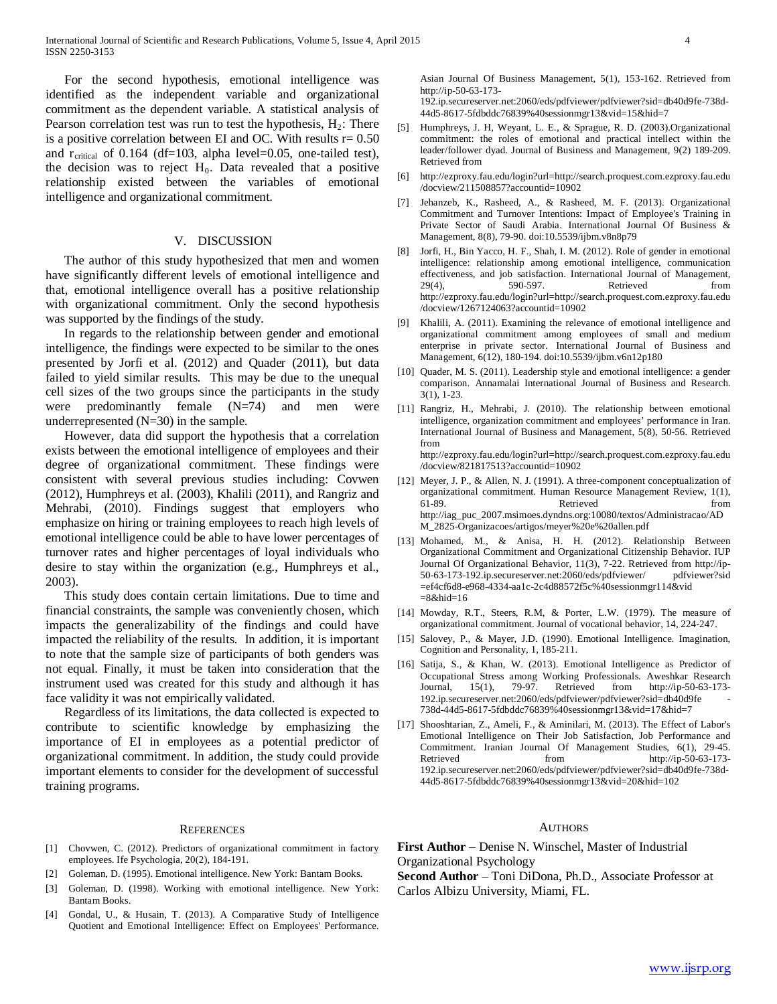For the second hypothesis, emotional intelligence was identified as the independent variable and organizational commitment as the dependent variable. A statistical analysis of Pearson correlation test was run to test the hypothesis,  $H_2$ : There is a positive correlation between EI and OC. With results  $r = 0.50$ and  $r_{critical}$  of 0.164 (df=103, alpha level=0.05, one-tailed test), the decision was to reject  $H_0$ . Data revealed that a positive relationship existed between the variables of emotional intelligence and organizational commitment.

## V. DISCUSSION

 The author of this study hypothesized that men and women have significantly different levels of emotional intelligence and that, emotional intelligence overall has a positive relationship with organizational commitment. Only the second hypothesis was supported by the findings of the study.

 In regards to the relationship between gender and emotional intelligence, the findings were expected to be similar to the ones presented by Jorfi et al. (2012) and Quader (2011), but data failed to yield similar results. This may be due to the unequal cell sizes of the two groups since the participants in the study were predominantly female  $(N=74)$  and men were underrepresented  $(N=30)$  in the sample.

 However, data did support the hypothesis that a correlation exists between the emotional intelligence of employees and their degree of organizational commitment. These findings were consistent with several previous studies including: Covwen (2012), Humphreys et al. (2003), Khalili (2011), and Rangriz and Mehrabi, (2010). Findings suggest that employers who emphasize on hiring or training employees to reach high levels of emotional intelligence could be able to have lower percentages of turnover rates and higher percentages of loyal individuals who desire to stay within the organization (e.g., Humphreys et al., 2003).

 This study does contain certain limitations. Due to time and financial constraints, the sample was conveniently chosen, which impacts the generalizability of the findings and could have impacted the reliability of the results. In addition, it is important to note that the sample size of participants of both genders was not equal. Finally, it must be taken into consideration that the instrument used was created for this study and although it has face validity it was not empirically validated.

 Regardless of its limitations, the data collected is expected to contribute to scientific knowledge by emphasizing the importance of EI in employees as a potential predictor of organizational commitment. In addition, the study could provide important elements to consider for the development of successful training programs.

#### **REFERENCES**

- [1] Chovwen, C. (2012). Predictors of organizational commitment in factory employees. Ife Psychologia, 20(2), 184-191.
- [2] Goleman, D. (1995). Emotional intelligence. New York: Bantam Books.
- [3] Goleman, D. (1998). Working with emotional intelligence. New York: Bantam Books.
- [4] Gondal, U., & Husain, T. (2013). A Comparative Study of Intelligence Quotient and Emotional Intelligence: Effect on Employees' Performance.

192.ip.secureserver.net:2060/eds/pdfviewer/pdfviewer?sid=db40d9fe-738d-44d5-8617-5fdbddc76839%40sessionmgr13&vid=15&hid=7

- [5] Humphreys, J. H, Weyant, L. E., & Sprague, R. D. (2003).Organizational commitment: the roles of emotional and practical intellect within the leader/follower dyad. Journal of Business and Management, 9(2) 189-209. Retrieved from
- [6] http://ezproxy.fau.edu/login?url=http://search.proquest.com.ezproxy.fau.edu /docview/211508857?accountid=10902
- [7] Jehanzeb, K., Rasheed, A., & Rasheed, M. F. (2013). Organizational Commitment and Turnover Intentions: Impact of Employee's Training in Private Sector of Saudi Arabia. International Journal Of Business & Management, 8(8), 79-90. doi:10.5539/ijbm.v8n8p79
- [8] Jorfi, H., Bin Yacco, H. F., Shah, I. M. (2012). Role of gender in emotional intelligence: relationship among emotional intelligence, communication effectiveness, and job satisfaction. International Journal of Management, 29(4), 590-597. Retrieved from http://ezproxy.fau.edu/login?url=http://search.proquest.com.ezproxy.fau.edu /docview/1267124063?accountid=10902
- [9] Khalili, A. (2011). Examining the relevance of emotional intelligence and organizational commitment among employees of small and medium enterprise in private sector. International Journal of Business and Management, 6(12), 180-194. doi:10.5539/ijbm.v6n12p180
- [10] Quader, M. S. (2011). Leadership style and emotional intelligence: a gender comparison. Annamalai International Journal of Business and Research. 3(1), 1-23.
- [11] Rangriz, H., Mehrabi, J. (2010). The relationship between emotional intelligence, organization commitment and employees' performance in Iran. International Journal of Business and Management, 5(8), 50-56. Retrieved from http://ezproxy.fau.edu/login?url=http://search.proquest.com.ezproxy.fau.edu /docview/821817513?accountid=10902
- [12] Meyer, J. P., & Allen, N. J. (1991). A three-component conceptualization of organizational commitment. Human Resource Management Review, 1(1), 61-89. Retrieved from http://iag\_puc\_2007.msimoes.dyndns.org:10080/textos/Administracao/AD M\_2825-Organizacoes/artigos/meyer%20e%20allen.pdf
- [13] Mohamed, M., & Anisa, H. H. (2012). Relationship Between Organizational Commitment and Organizational Citizenship Behavior. IUP Journal Of Organizational Behavior, 11(3), 7-22. Retrieved from http://ip-50-63-173-192.ip.secureserver.net:2060/eds/pdfviewer/ pdfviewer?sid =ef4cf6d8-e968-4334-aa1c-2c4d88572f5c%40sessionmgr114&vid  $=8$ &hid $=16$
- [14] Mowday, R.T., Steers, R.M, & Porter, L.W. (1979). The measure of organizational commitment. Journal of vocational behavior, 14, 224-247.
- [15] Salovey, P., & Mayer, J.D. (1990). Emotional Intelligence. Imagination, Cognition and Personality, 1, 185-211.
- [16] Satija, S., & Khan, W. (2013). Emotional Intelligence as Predictor of Occupational Stress among Working Professionals. Aweshkar Research Journal, 15(1), 79-97. Retrieved from http://ip-50-63-173-Journal,  $15(1)$ ,  $79-97$ . Retrieved from 192.ip.secureserver.net:2060/eds/pdfviewer/pdfviewer?sid=db40d9fe - 738d-44d5-8617-5fdbddc76839%40sessionmgr13&vid=17&hid=7
- [17] Shooshtarian, Z., Ameli, F., & Aminilari, M. (2013). The Effect of Labor's Emotional Intelligence on Their Job Satisfaction, Job Performance and Commitment. Iranian Journal Of Management Studies, 6(1), 29-45. Retrieved from http://ip-50-63-173-192.ip.secureserver.net:2060/eds/pdfviewer/pdfviewer?sid=db40d9fe-738d-44d5-8617-5fdbddc76839%40sessionmgr13&vid=20&hid=102

#### **AUTHORS**

**First Author** – Denise N. Winschel, Master of Industrial Organizational Psychology

**Second Author** – Toni DiDona, Ph.D., Associate Professor at Carlos Albizu University, Miami, FL.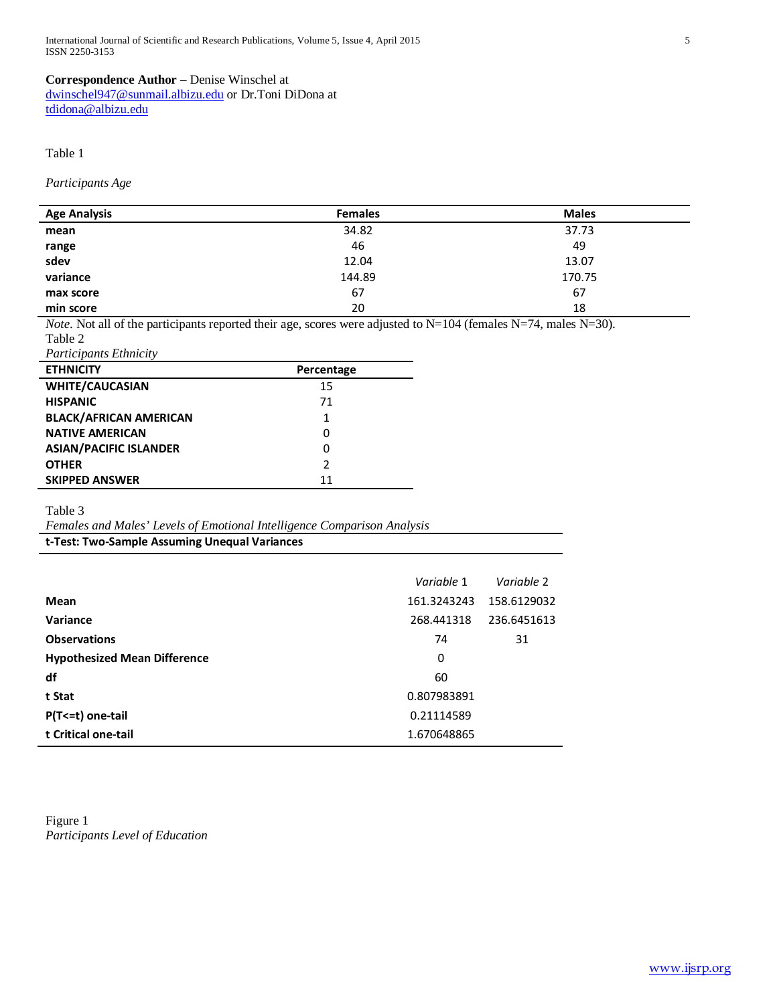## **Correspondence Author** – Denise Winschel at

[dwinschel947@sunmail.albizu.edu](mailto:dwinschel947@sunmail.albizu.edu) or Dr.Toni DiDona at [tdidona@albizu.edu](mailto:tdidona@albizu.edu)

## Table 1

*Participants Age* 

| <b>Age Analysis</b> | <b>Females</b> | <b>Males</b> |
|---------------------|----------------|--------------|
| mean                | 34.82          | 37.73        |
|                     | 46             | 49           |
| range<br>sdev       | 12.04          | 13.07        |
| variance            | 144.89         | 170.75       |
| max score           | 67             | 67           |
| min score           | 20             | 18           |

*Note*. Not all of the participants reported their age, scores were adjusted to N=104 (females N=74, males N=30). Table 2

*Participants Ethnicity* 

| <b>ETHNICITY</b>              | Percentage    |
|-------------------------------|---------------|
| <b>WHITE/CAUCASIAN</b>        | 15            |
| <b>HISPANIC</b>               | 71            |
| <b>BLACK/AFRICAN AMERICAN</b> | 1             |
| <b>NATIVE AMERICAN</b>        | 0             |
| <b>ASIAN/PACIFIC ISLANDER</b> | 0             |
| <b>OTHER</b>                  | $\mathcal{P}$ |
| <b>SKIPPED ANSWER</b>         | 11            |

Table 3

*Females and Males' Levels of Emotional Intelligence Comparison Analysis*

**t-Test: Two-Sample Assuming Unequal Variances**

|                                     | Variable 1  | Variable 2  |
|-------------------------------------|-------------|-------------|
| Mean                                | 161.3243243 | 158.6129032 |
| Variance                            | 268.441318  | 236.6451613 |
| <b>Observations</b>                 | 74          | 31          |
| <b>Hypothesized Mean Difference</b> | 0           |             |
| df                                  | 60          |             |
| t Stat                              | 0.807983891 |             |
| $P(T \le t)$ one-tail               | 0.21114589  |             |
| t Critical one-tail                 | 1.670648865 |             |

Figure 1 *Participants Level of Education*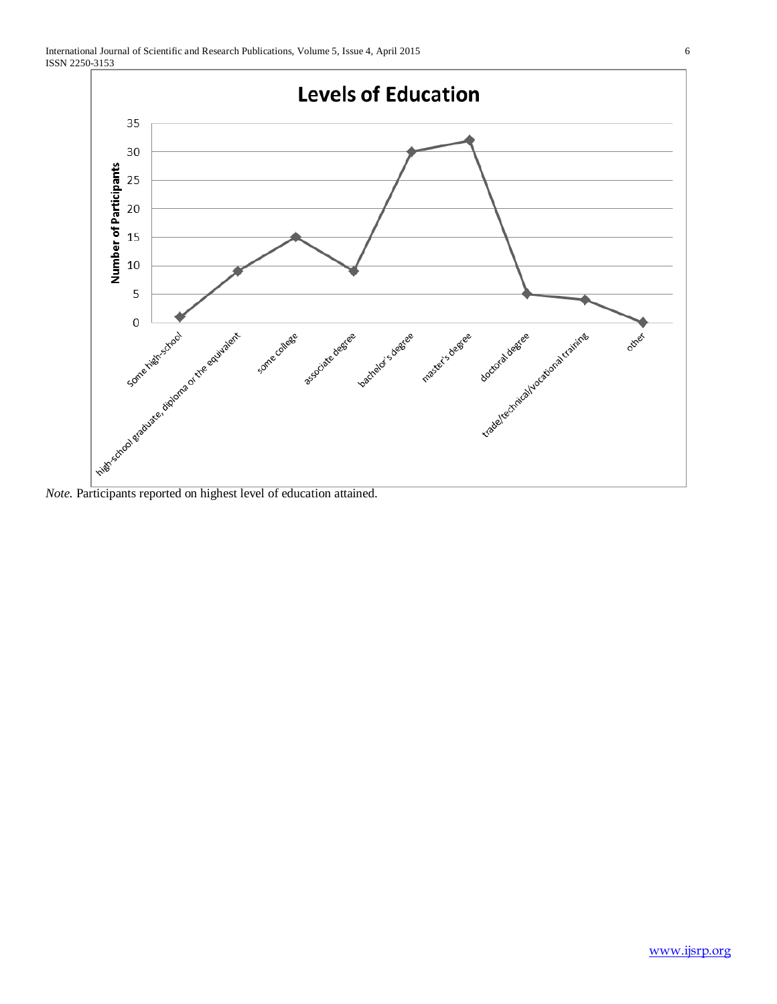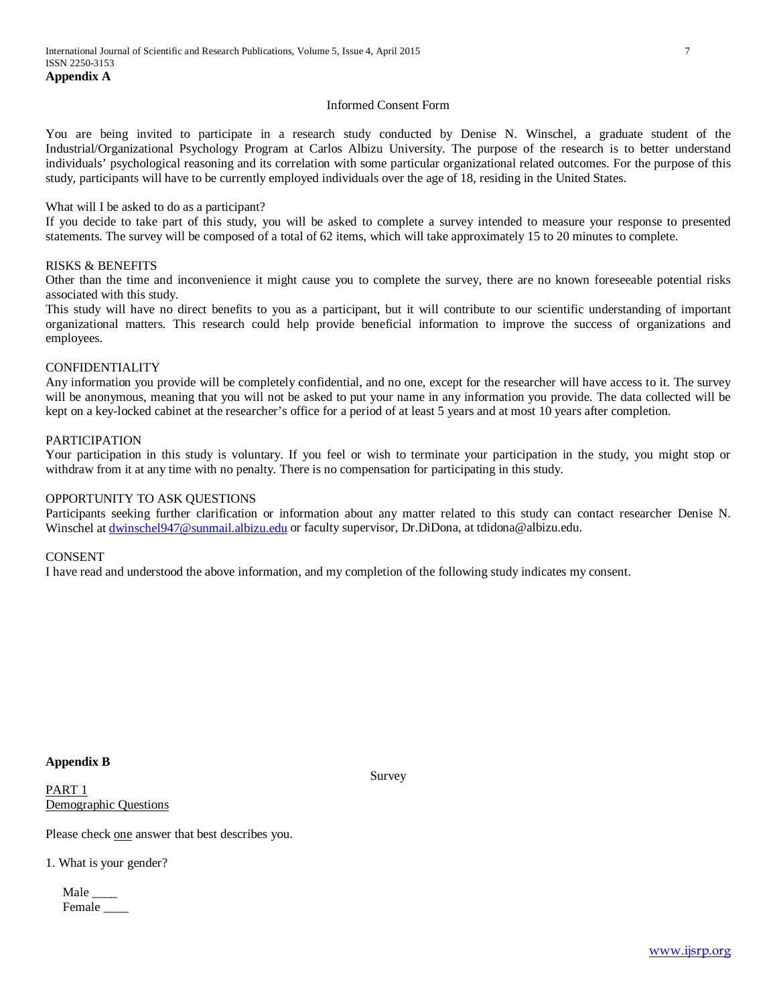## Informed Consent Form

You are being invited to participate in a research study conducted by Denise N. Winschel, a graduate student of the Industrial/Organizational Psychology Program at Carlos Albizu University. The purpose of the research is to better understand individuals' psychological reasoning and its correlation with some particular organizational related outcomes. For the purpose of this study, participants will have to be currently employed individuals over the age of 18, residing in the United States.

## What will I be asked to do as a participant?

If you decide to take part of this study, you will be asked to complete a survey intended to measure your response to presented statements. The survey will be composed of a total of 62 items, which will take approximately 15 to 20 minutes to complete.

## RISKS & BENEFITS

Other than the time and inconvenience it might cause you to complete the survey, there are no known foreseeable potential risks associated with this study.

This study will have no direct benefits to you as a participant, but it will contribute to our scientific understanding of important organizational matters. This research could help provide beneficial information to improve the success of organizations and employees.

## CONFIDENTIALITY

Any information you provide will be completely confidential, and no one, except for the researcher will have access to it. The survey will be anonymous, meaning that you will not be asked to put your name in any information you provide. The data collected will be kept on a key-locked cabinet at the researcher's office for a period of at least 5 years and at most 10 years after completion.

## PARTICIPATION

Your participation in this study is voluntary. If you feel or wish to terminate your participation in the study, you might stop or withdraw from it at any time with no penalty. There is no compensation for participating in this study.

## OPPORTUNITY TO ASK QUESTIONS

Participants seeking further clarification or information about any matter related to this study can contact researcher Denise N. Winschel at [dwinschel947@sunmail.albizu.edu](mailto:dwinschel947@sunmail.albizu.edu) or faculty supervisor, Dr.DiDona, at tdidona@albizu.edu.

## **CONSENT**

I have read and understood the above information, and my completion of the following study indicates my consent.

## **Appendix B**

PART 1 Demographic Questions Survey

Please check one answer that best describes you.

1. What is your gender?

Male \_\_\_\_ Female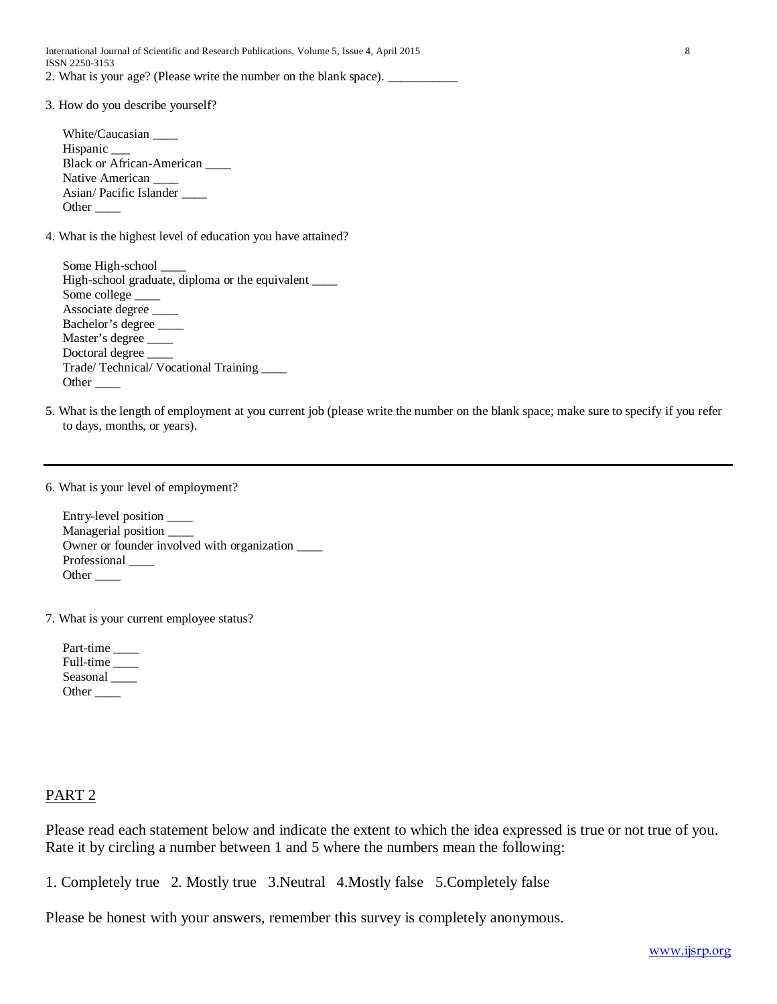International Journal of Scientific and Research Publications, Volume 5, Issue 4, April 2015 8 ISSN 2250-3153 2. What is your age? (Please write the number on the blank space).

3. How do you describe yourself?

White/Caucasian \_\_\_\_ Hispanic \_\_\_ Black or African-American \_\_\_\_ Native American Asian/ Pacific Islander \_\_\_\_ Other  $\qquad$ 

4. What is the highest level of education you have attained?

Some High-school High-school graduate, diploma or the equivalent \_\_\_\_ Some college Associate degree \_\_\_\_ Bachelor's degree \_\_\_\_ Master's degree \_\_\_\_ Doctoral degree Trade/ Technical/ Vocational Training \_\_\_\_ Other \_\_\_\_

5. What is the length of employment at you current job (please write the number on the blank space; make sure to specify if you refer to days, months, or years).

6. What is your level of employment?

Entry-level position \_\_\_\_ Managerial position \_\_\_\_ Owner or founder involved with organization \_\_\_\_ Professional Other  $\qquad$ 

7. What is your current employee status?

Part-time Full-time \_\_\_\_ Seasonal \_\_\_\_\_\_ Other  $\_\_$ 

## PART 2

Please read each statement below and indicate the extent to which the idea expressed is true or not true of you. Rate it by circling a number between 1 and 5 where the numbers mean the following:

1. Completely true 2. Mostly true 3.Neutral 4.Mostly false 5.Completely false

Please be honest with your answers, remember this survey is completely anonymous.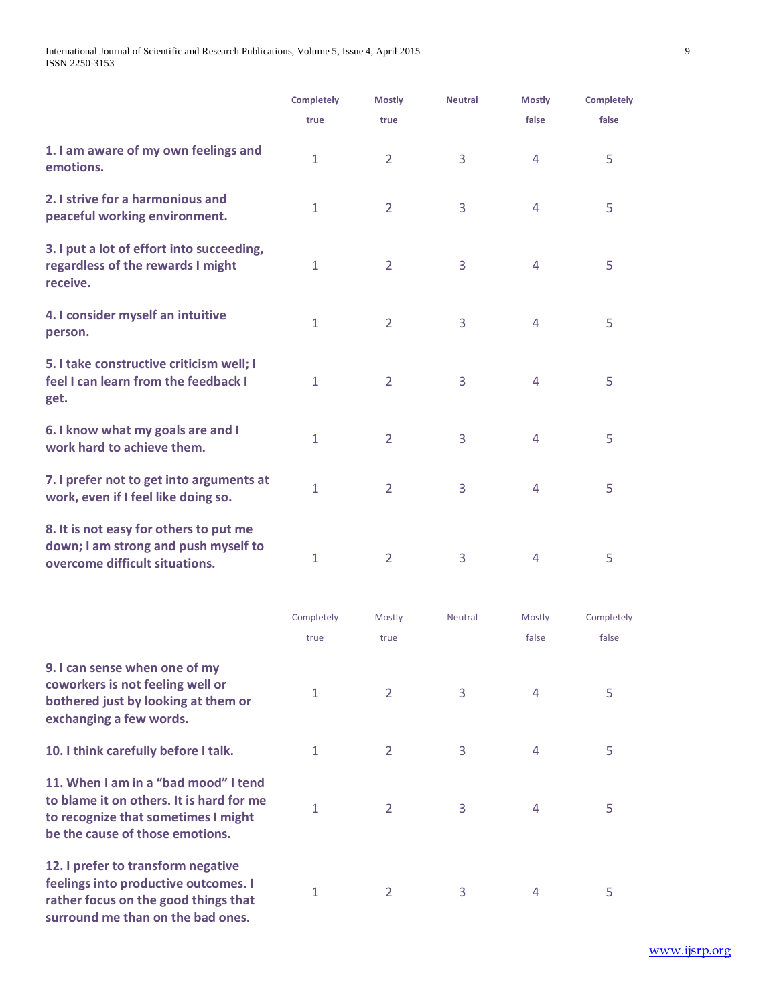|                                                                                                                  | <b>Completely</b> | <b>Mostly</b>  | <b>Neutral</b> | <b>Mostly</b>  | <b>Completely</b> |
|------------------------------------------------------------------------------------------------------------------|-------------------|----------------|----------------|----------------|-------------------|
|                                                                                                                  | true              | true           |                | false          | false             |
| 1. I am aware of my own feelings and<br>emotions.                                                                | $\mathbf{1}$      | $\overline{2}$ | 3              | $\overline{4}$ | 5                 |
| 2. I strive for a harmonious and<br>peaceful working environment.                                                | $\mathbf{1}$      | $\overline{2}$ | 3              | $\overline{4}$ | 5                 |
| 3. I put a lot of effort into succeeding,<br>regardless of the rewards I might<br>receive.                       | $\mathbf{1}$      | $\overline{2}$ | $\overline{3}$ | $\overline{4}$ | 5                 |
| 4. I consider myself an intuitive<br>person.                                                                     | $\mathbf{1}$      | $\overline{2}$ | 3              | $\overline{4}$ | 5                 |
| 5. I take constructive criticism well; I<br>feel I can learn from the feedback I<br>get.                         | $\mathbf{1}$      | 2              | 3              | $\overline{4}$ | 5                 |
| 6. I know what my goals are and I<br>work hard to achieve them.                                                  | $\mathbf{1}$      | $\overline{2}$ | 3              | $\overline{4}$ | 5                 |
| 7. I prefer not to get into arguments at<br>work, even if I feel like doing so.                                  | $\mathbf{1}$      | $\overline{2}$ | 3              | 4              | 5                 |
| 8. It is not easy for others to put me<br>down; I am strong and push myself to<br>overcome difficult situations. | $\mathbf{1}$      | $\overline{2}$ | 3              | 4              | 5                 |

|                                                                                                                                                            | Completely   | Mostly         | <b>Neutral</b> | Mostly | Completely |
|------------------------------------------------------------------------------------------------------------------------------------------------------------|--------------|----------------|----------------|--------|------------|
|                                                                                                                                                            | true         | true           |                | false  | false      |
| 9. I can sense when one of my<br>coworkers is not feeling well or<br>bothered just by looking at them or<br>exchanging a few words.                        | $\mathbf{1}$ | $\overline{2}$ | 3              | 4      | 5          |
| 10. I think carefully before I talk.                                                                                                                       | 1            | 2              | 3              | 4      | 5          |
| 11. When I am in a "bad mood" I tend<br>to blame it on others. It is hard for me<br>to recognize that sometimes I might<br>be the cause of those emotions. | $\mathbf{1}$ | $\overline{2}$ | 3              | 4      | 5          |
| 12. I prefer to transform negative<br>feelings into productive outcomes. I<br>rather focus on the good things that<br>surround me than on the bad ones.    | 1            | 2              | 3              | 4      | 5          |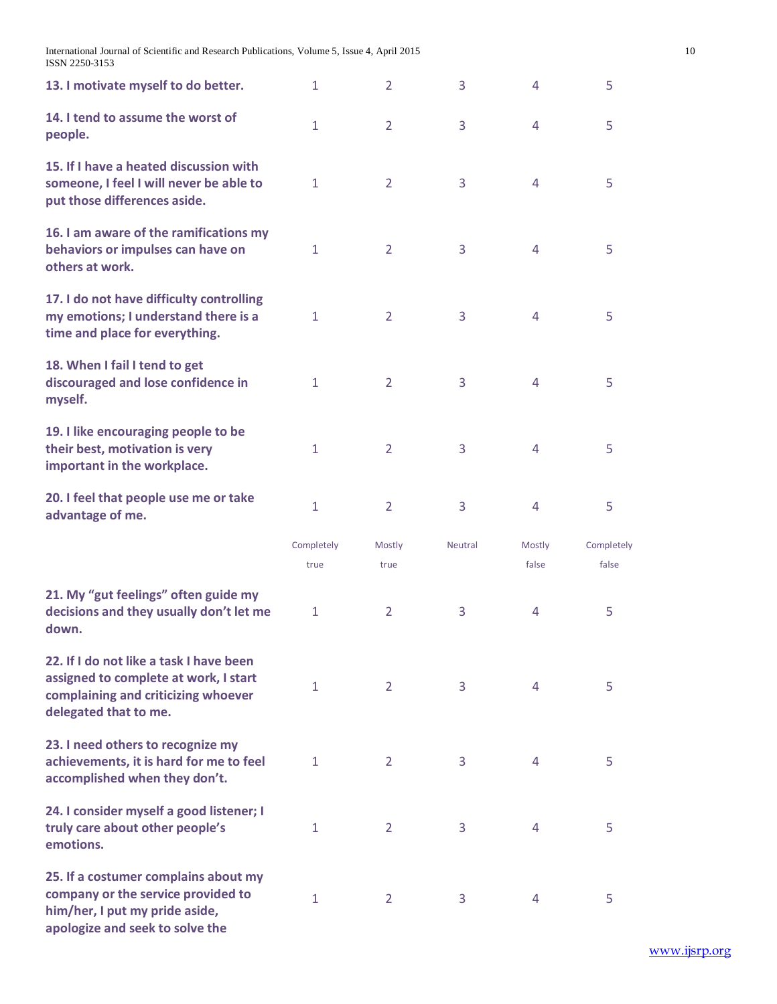International Journal of Scientific and Research Publications, Volume 5, Issue 4, April 2015 10 ISSN 2250-3153

| 13. I motivate myself to do better.                                                                                                              | $\mathbf{1}$       | $\overline{2}$ | 3              | $\overline{4}$  | 5                   |
|--------------------------------------------------------------------------------------------------------------------------------------------------|--------------------|----------------|----------------|-----------------|---------------------|
| 14. I tend to assume the worst of<br>people.                                                                                                     | 1                  | $\overline{2}$ | 3              | 4               | 5                   |
| 15. If I have a heated discussion with<br>someone, I feel I will never be able to<br>put those differences aside.                                | $\mathbf{1}$       | $\overline{2}$ | 3              | $\overline{4}$  | 5                   |
| 16. I am aware of the ramifications my<br>behaviors or impulses can have on<br>others at work.                                                   | $\mathbf{1}$       | $\overline{2}$ | 3              | 4               | 5                   |
| 17. I do not have difficulty controlling<br>my emotions; I understand there is a<br>time and place for everything.                               | $\mathbf{1}$       | 2              | 3              | $\overline{4}$  | 5                   |
| 18. When I fail I tend to get<br>discouraged and lose confidence in<br>myself.                                                                   | $\mathbf{1}$       | 2              | 3              | $\overline{4}$  | 5                   |
| 19. I like encouraging people to be<br>their best, motivation is very<br>important in the workplace.                                             | $\mathbf{1}$       | $\overline{2}$ | 3              | $\overline{4}$  | 5                   |
| 20. I feel that people use me or take<br>advantage of me.                                                                                        | $\mathbf{1}$       | $\overline{2}$ | 3              | $\overline{4}$  | 5                   |
|                                                                                                                                                  | Completely<br>true | Mostly<br>true | <b>Neutral</b> | Mostly<br>false | Completely<br>false |
| 21. My "gut feelings" often guide my<br>decisions and they usually don't let me<br>down.                                                         | $\mathbf{1}$       | 2              | 3              | $\overline{4}$  | 5                   |
| 22. If I do not like a task I have been<br>assigned to complete at work, I start<br>complaining and criticizing whoever<br>delegated that to me. | $\mathbf{1}$       | 2              | 3              | 4               | 5                   |
| 23. I need others to recognize my<br>achievements, it is hard for me to feel<br>accomplished when they don't.                                    | $\mathbf{1}$       | $\overline{2}$ | 3              | 4               | 5                   |
| 24. I consider myself a good listener; I<br>truly care about other people's<br>emotions.                                                         | $\mathbf{1}$       | 2              | 3              | $\overline{4}$  | 5                   |
| 25. If a costumer complains about my<br>company or the service provided to<br>him/her, I put my pride aside,<br>apologize and seek to solve the  | $\mathbf{1}$       | $\overline{2}$ | 3              | 4               | 5                   |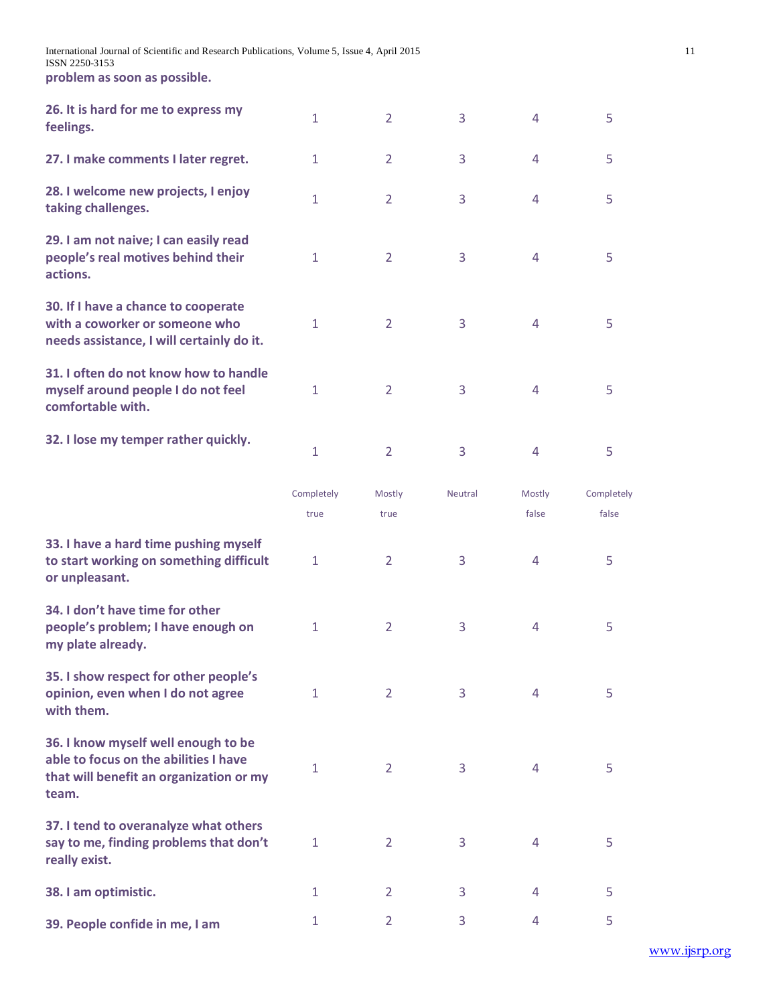| 26. It is hard for me to express my<br>feelings.                                                                   | $\mathbf{1}$       | $\overline{2}$ | 3              | $\overline{4}$  | 5                   |
|--------------------------------------------------------------------------------------------------------------------|--------------------|----------------|----------------|-----------------|---------------------|
| 27. I make comments I later regret.                                                                                | $\mathbf{1}$       | $\overline{2}$ | 3              | $\overline{4}$  | 5                   |
| 28. I welcome new projects, I enjoy<br>taking challenges.                                                          | $\mathbf{1}$       | $\overline{2}$ | 3              | 4               | 5                   |
| 29. I am not naive; I can easily read<br>people's real motives behind their<br>actions.                            | $\mathbf{1}$       | $\overline{2}$ | 3              | $\overline{4}$  | 5                   |
| 30. If I have a chance to cooperate<br>with a coworker or someone who<br>needs assistance, I will certainly do it. | $\mathbf{1}$       | $\overline{2}$ | 3              | $\overline{4}$  | 5                   |
| 31. I often do not know how to handle<br>myself around people I do not feel<br>comfortable with.                   | $\mathbf{1}$       | $\overline{2}$ | 3              | 4               | 5                   |
| 32. I lose my temper rather quickly.                                                                               | $\mathbf{1}$       | $\overline{2}$ | $\overline{3}$ | $\overline{4}$  | 5                   |
|                                                                                                                    | Completely<br>true | Mostly<br>true | <b>Neutral</b> | Mostly<br>false | Completely<br>false |
| .                                                                                                                  |                    |                |                |                 |                     |

| 33. I have a hard time pushing myself<br>to start working on something difficult<br>or unpleasant.                               | $\mathbf{1}$ | $\overline{2}$ | 3 | 4 | 5 |
|----------------------------------------------------------------------------------------------------------------------------------|--------------|----------------|---|---|---|
| 34. I don't have time for other<br>people's problem; I have enough on<br>my plate already.                                       | 1            | $\overline{2}$ | 3 | 4 | 5 |
| 35. I show respect for other people's<br>opinion, even when I do not agree<br>with them.                                         | 1            | 2              | 3 | 4 | 5 |
| 36. I know myself well enough to be<br>able to focus on the abilities I have<br>that will benefit an organization or my<br>team. | 1            | $\overline{2}$ | 3 | 4 | 5 |
| 37. I tend to overanalyze what others<br>say to me, finding problems that don't<br>really exist.                                 | 1            | $\overline{2}$ | 3 | 4 | 5 |
| 38. I am optimistic.                                                                                                             | 1            | 2              | 3 | 4 | 5 |
| 39. People confide in me, I am                                                                                                   | 1            | $\overline{2}$ | 3 | 4 | 5 |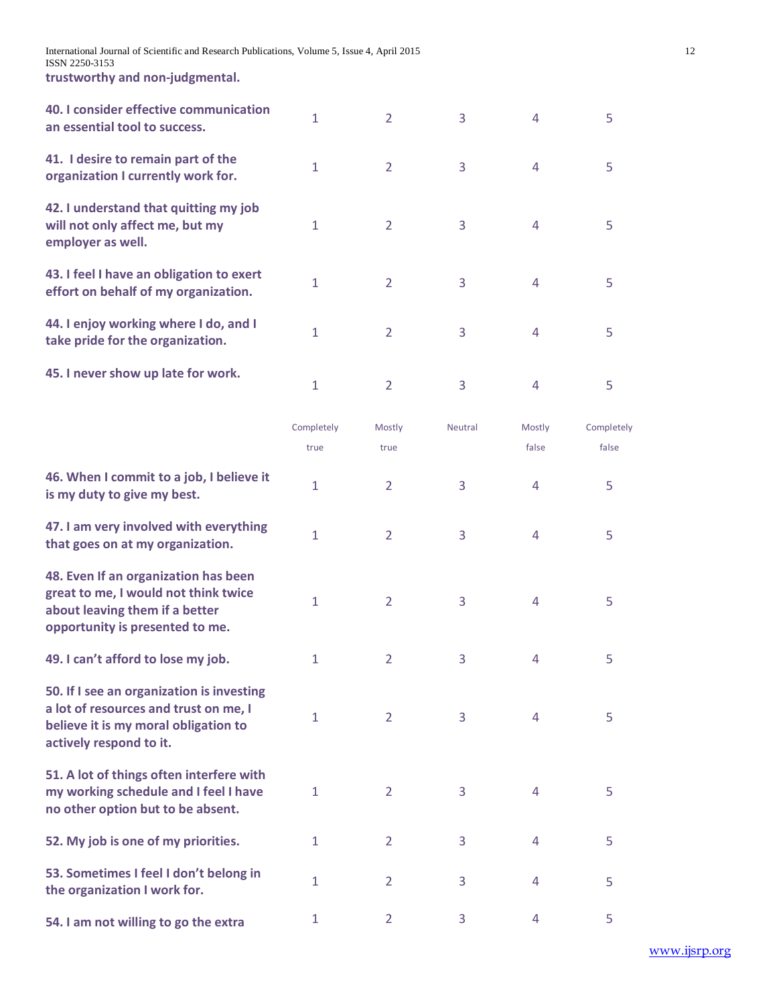International Journal of Scientific and Research Publications, Volume 5, Issue 4, April 2015 12 ISSN 2250-3153

**trustworthy and non-judgmental.** 

| 40. I consider effective communication<br>an essential tool to success.                                                                               | $\mathbf{1}$       | $\overline{2}$ | 3       | $\overline{4}$  | 5                   |
|-------------------------------------------------------------------------------------------------------------------------------------------------------|--------------------|----------------|---------|-----------------|---------------------|
| 41. I desire to remain part of the<br>organization I currently work for.                                                                              | $\mathbf{1}$       | $\overline{2}$ | 3       | $\overline{4}$  | 5                   |
| 42. I understand that quitting my job<br>will not only affect me, but my<br>employer as well.                                                         | $\mathbf 1$        | $\overline{2}$ | 3       | $\overline{4}$  | 5                   |
| 43. I feel I have an obligation to exert<br>effort on behalf of my organization.                                                                      | $\mathbf{1}$       | $\overline{2}$ | 3       | $\overline{4}$  | 5                   |
| 44. I enjoy working where I do, and I<br>take pride for the organization.                                                                             | $\mathbf{1}$       | $\overline{2}$ | 3       | $\overline{4}$  | 5                   |
| 45. I never show up late for work.                                                                                                                    | $\mathbf{1}$       | $\overline{2}$ | 3       | $\overline{4}$  | 5                   |
|                                                                                                                                                       | Completely<br>true | Mostly<br>true | Neutral | Mostly<br>false | Completely<br>false |
| 46. When I commit to a job, I believe it<br>is my duty to give my best.                                                                               | $\mathbf{1}$       | $\overline{2}$ | 3       | $\overline{4}$  | 5                   |
| 47. I am very involved with everything<br>that goes on at my organization.                                                                            | $\mathbf{1}$       | $\overline{2}$ | 3       | $\overline{4}$  | 5                   |
| 48. Even If an organization has been<br>great to me, I would not think twice<br>about leaving them if a better<br>opportunity is presented to me.     | $\mathbf{1}$       | $\overline{2}$ | 3       | $\overline{4}$  | 5                   |
| 49. I can't afford to lose my job.                                                                                                                    | 1                  | $\overline{2}$ | 3       | $\overline{4}$  | 5                   |
| 50. If I see an organization is investing<br>a lot of resources and trust on me, I<br>believe it is my moral obligation to<br>actively respond to it. | $\mathbf{1}$       | $\overline{2}$ | 3       | 4               | 5                   |
| 51. A lot of things often interfere with<br>my working schedule and I feel I have<br>no other option but to be absent.                                | $\mathbf{1}$       | $\overline{2}$ | 3       | 4               | 5                   |
| 52. My job is one of my priorities.                                                                                                                   | 1                  | $\overline{2}$ | 3       | 4               | 5                   |
| 53. Sometimes I feel I don't belong in<br>the organization I work for.                                                                                | $\mathbf{1}$       | 2              | 3       | 4               | 5                   |
| 54. I am not willing to go the extra                                                                                                                  | $\mathbf{1}$       | $\overline{2}$ | 3       | 4               | 5                   |